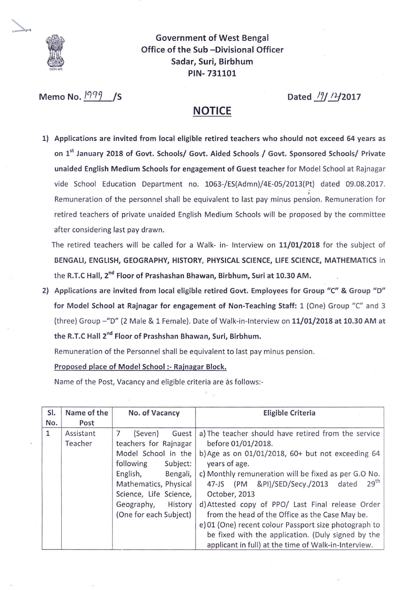

Government of West Bengal Office of the Sub -Divisional Officer Sadar, Suri, Birbhum PIN- 731101

Memo No. <sup>1999</sup> /S **Dated** /9/ <sup>1</sup>4/2017

## **NOTICE**

1) Applications are invited from local eligible retired teachers who should not exceed 64 years as on 1<sup>st</sup> January 2018 of Govt. Schools/ Govt. Aided Schools / Govt. Sponsored Schools/ Private unaided English Medium Schools for engagement of Guest teacher for Model School at Rajnagar vide School Education Department no. 1063-/ES(Admn)/4E-05/2013(Pt) dated 09.08.2017. Remuneration of the personnel shall be equivalent to last pay minus pension. Remuneration for retired teachers of private unaided English Medium Schools will be proposed by the committee after considering last pay drawn.

The retired teachers will be called for a Walk- in- Interview on 11/01/2018 for the subject of BENGALI, ENGLISH, GEOGRAPHY, HISTORY, PHYSICAL SCIENCE, LIFE SCIENCE, MATHEMATICS in the R.T.C Hall, 2<sup>nd</sup> Floor of Prashashan Bhawan, Birbhum, Suri at 10.30 AM.

2) Applications are invited from local eligible retired Govt. Employees for Group "C" & Group "D" for Model School at Rajnagar for engagement of Non-Teaching Staff: 1 (One) Group "C" and 3 (three) Group -"D" (2 Male & 1 Female). Date of Walk-in-Interview on 11/01/2018 at 10.30 AM at the R.T.C Hall 2<sup>nd</sup> Floor of Prashshan Bhawan, Suri, Birbhum.

Remuneration of the Personnel shall be equivalent to last pay minus pension.

## Proposed place of Model School:- Rajnagar Block.

Name of the Post, Vacancy and eligible criteria are as follows:-

| SI.<br>No. | Name of the<br>Post  | No. of Vacancy                                                                                                                                                                                                               | <b>Eligible Criteria</b>                                                                                                                                                                                                                                                                                                                                                                                                                                                                                                                                              |
|------------|----------------------|------------------------------------------------------------------------------------------------------------------------------------------------------------------------------------------------------------------------------|-----------------------------------------------------------------------------------------------------------------------------------------------------------------------------------------------------------------------------------------------------------------------------------------------------------------------------------------------------------------------------------------------------------------------------------------------------------------------------------------------------------------------------------------------------------------------|
| 1          | Assistant<br>Teacher | 7<br>(Seven)<br>Guest<br>teachers for Rajnagar<br>Model School in the<br>following<br>Subject:<br>English,<br>Bengali,<br>Mathematics, Physical<br>Science, Life Science,<br>Geography,<br>History<br>(One for each Subject) | a) The teacher should have retired from the service<br>before 01/01/2018.<br>b) Age as on $01/01/2018$ , 60+ but not exceeding 64<br>years of age.<br>c) Monthly remuneration will be fixed as per G.O No.<br>29 <sup>th</sup><br>47-JS (PM &PI)/SED/Secy./2013 dated<br>October, 2013<br>d) Attested copy of PPO/ Last Final release Order<br>from the head of the Office as the Case May be.<br>e) 01 (One) recent colour Passport size photograph to<br>be fixed with the application. (Duly signed by the<br>applicant in full) at the time of Walk-in-Interview. |